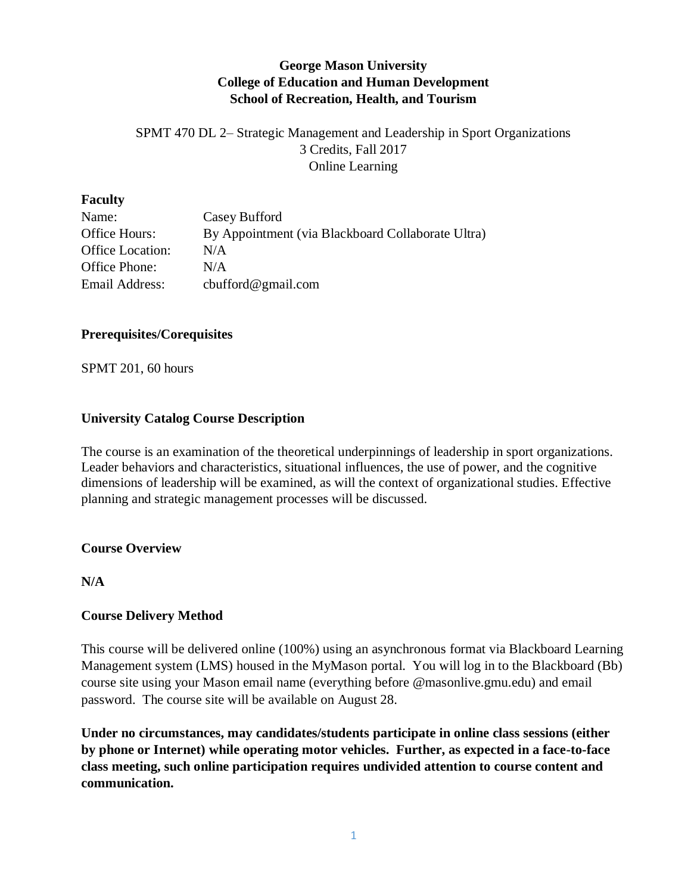## **George Mason University College of Education and Human Development School of Recreation, Health, and Tourism**

SPMT 470 DL 2– Strategic Management and Leadership in Sport Organizations 3 Credits, Fall 2017 Online Learning

#### **Faculty**

| Name:                   | Casey Bufford                                     |
|-------------------------|---------------------------------------------------|
| Office Hours:           | By Appointment (via Blackboard Collaborate Ultra) |
| <b>Office Location:</b> | N/A                                               |
| Office Phone:           | N/A                                               |
| Email Address:          | cbufford@gmail.com                                |

#### **Prerequisites/Corequisites**

SPMT 201, 60 hours

#### **University Catalog Course Description**

The course is an examination of the theoretical underpinnings of leadership in sport organizations. Leader behaviors and characteristics, situational influences, the use of power, and the cognitive dimensions of leadership will be examined, as will the context of organizational studies. Effective planning and strategic management processes will be discussed.

#### **Course Overview**

#### **N/A**

## **Course Delivery Method**

This course will be delivered online (100%) using an asynchronous format via Blackboard Learning Management system (LMS) housed in the MyMason portal. You will log in to the Blackboard (Bb) course site using your Mason email name (everything before @masonlive.gmu.edu) and email password. The course site will be available on August 28.

**Under no circumstances, may candidates/students participate in online class sessions (either by phone or Internet) while operating motor vehicles. Further, as expected in a face-to-face class meeting, such online participation requires undivided attention to course content and communication.**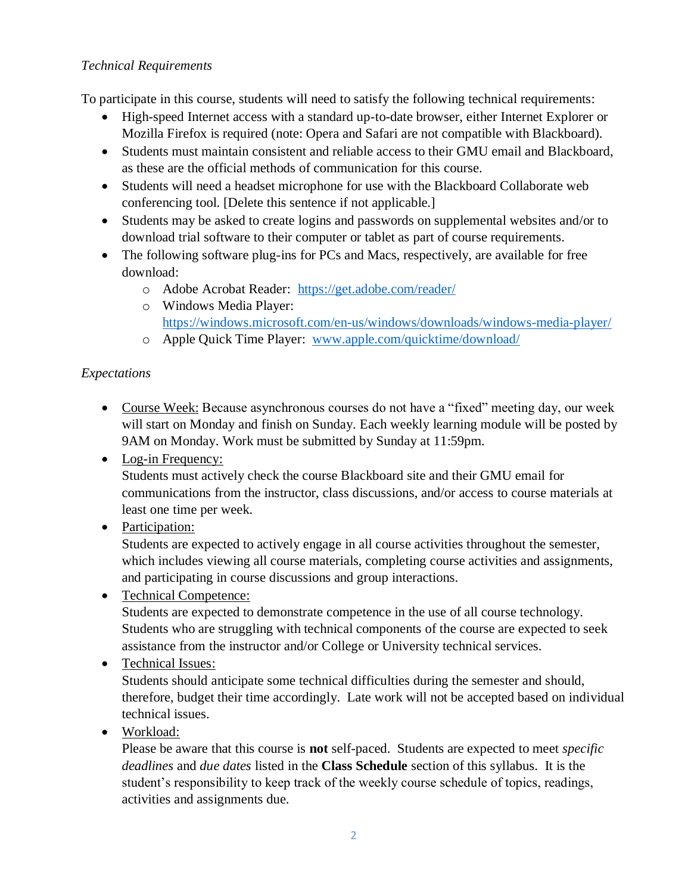## *Technical Requirements*

To participate in this course, students will need to satisfy the following technical requirements:

- High-speed Internet access with a standard up-to-date browser, either Internet Explorer or Mozilla Firefox is required (note: Opera and Safari are not compatible with Blackboard).
- Students must maintain consistent and reliable access to their GMU email and Blackboard, as these are the official methods of communication for this course.
- Students will need a headset microphone for use with the Blackboard Collaborate web conferencing tool. [Delete this sentence if not applicable.]
- Students may be asked to create logins and passwords on supplemental websites and/or to download trial software to their computer or tablet as part of course requirements.
- The following software plug-ins for PCs and Macs, respectively, are available for free download:
	- o Adobe Acrobat Reader: <https://get.adobe.com/reader/>
	- o Windows Media Player: <https://windows.microsoft.com/en-us/windows/downloads/windows-media-player/>
	- o Apple Quick Time Player: [www.apple.com/quicktime/download/](http://www.apple.com/quicktime/download/)

## *Expectations*

- Course Week: Because asynchronous courses do not have a "fixed" meeting day, our week will start on Monday and finish on Sunday. Each weekly learning module will be posted by 9AM on Monday. Work must be submitted by Sunday at 11:59pm.
- Log-in Frequency:

Students must actively check the course Blackboard site and their GMU email for communications from the instructor, class discussions, and/or access to course materials at least one time per week.

• Participation:

Students are expected to actively engage in all course activities throughout the semester, which includes viewing all course materials, completing course activities and assignments, and participating in course discussions and group interactions.

• Technical Competence:

Students are expected to demonstrate competence in the use of all course technology. Students who are struggling with technical components of the course are expected to seek assistance from the instructor and/or College or University technical services.

• Technical Issues:

Students should anticipate some technical difficulties during the semester and should, therefore, budget their time accordingly. Late work will not be accepted based on individual technical issues.

• Workload:

Please be aware that this course is **not** self-paced. Students are expected to meet *specific deadlines* and *due dates* listed in the **Class Schedule** section of this syllabus. It is the student's responsibility to keep track of the weekly course schedule of topics, readings, activities and assignments due.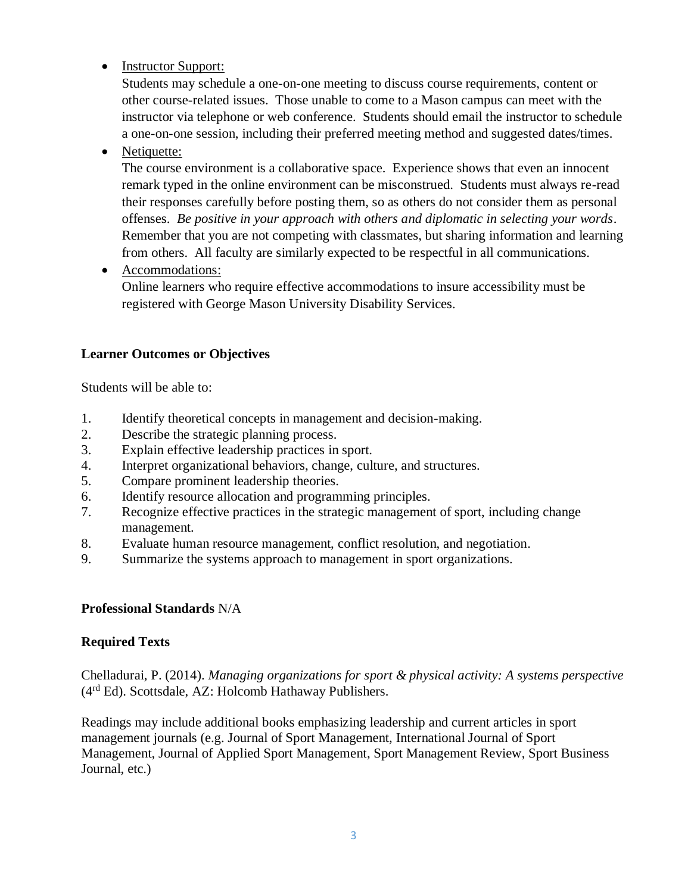• Instructor Support:

Students may schedule a one-on-one meeting to discuss course requirements, content or other course-related issues. Those unable to come to a Mason campus can meet with the instructor via telephone or web conference. Students should email the instructor to schedule a one-on-one session, including their preferred meeting method and suggested dates/times.

• Netiquette:

The course environment is a collaborative space. Experience shows that even an innocent remark typed in the online environment can be misconstrued. Students must always re-read their responses carefully before posting them, so as others do not consider them as personal offenses. *Be positive in your approach with others and diplomatic in selecting your words*. Remember that you are not competing with classmates, but sharing information and learning from others. All faculty are similarly expected to be respectful in all communications.

• Accommodations:

Online learners who require effective accommodations to insure accessibility must be registered with George Mason University Disability Services.

## **Learner Outcomes or Objectives**

Students will be able to:

- 1. Identify theoretical concepts in management and decision-making.
- 2. Describe the strategic planning process.
- 3. Explain effective leadership practices in sport.
- 4. Interpret organizational behaviors, change, culture, and structures.
- 5. Compare prominent leadership theories.
- 6. Identify resource allocation and programming principles.
- 7. Recognize effective practices in the strategic management of sport, including change management.
- 8. Evaluate human resource management, conflict resolution, and negotiation.
- 9. Summarize the systems approach to management in sport organizations.

## **Professional Standards** N/A

## **Required Texts**

Chelladurai, P. (2014). *Managing organizations for sport & physical activity: A systems perspective* (4rd Ed). Scottsdale, AZ: Holcomb Hathaway Publishers.

Readings may include additional books emphasizing leadership and current articles in sport management journals (e.g. Journal of Sport Management, International Journal of Sport Management, Journal of Applied Sport Management, Sport Management Review, Sport Business Journal, etc.)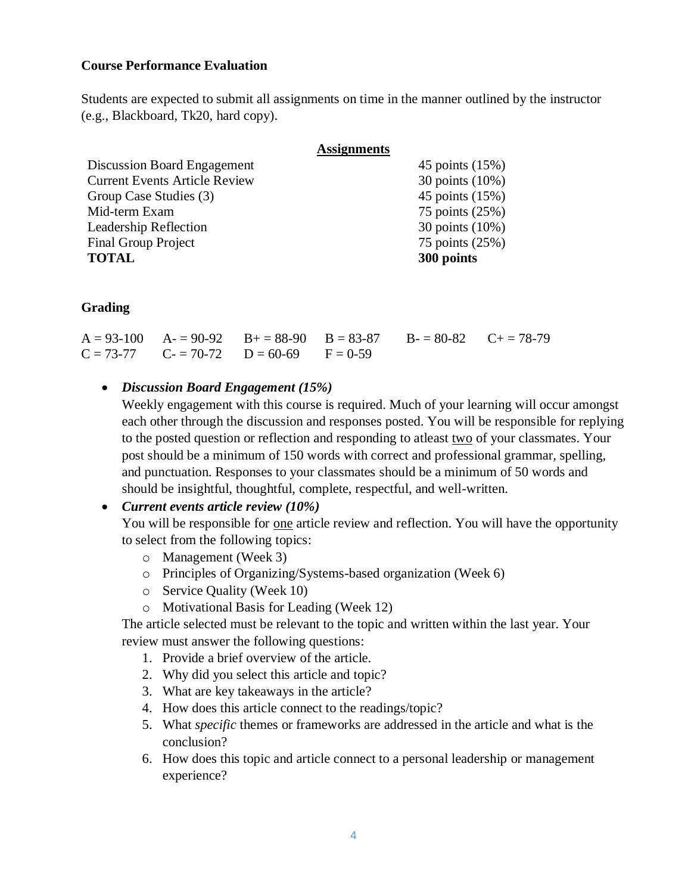#### **Course Performance Evaluation**

Students are expected to submit all assignments on time in the manner outlined by the instructor (e.g., Blackboard, Tk20, hard copy).

|                                      | <b>Assignments</b> |                 |
|--------------------------------------|--------------------|-----------------|
| Discussion Board Engagement          |                    | 45 points (15%) |
| <b>Current Events Article Review</b> |                    | 30 points (10%) |
| Group Case Studies (3)               |                    | 45 points (15%) |
| Mid-term Exam                        |                    | 75 points (25%) |
| Leadership Reflection                |                    | 30 points (10%) |
| <b>Final Group Project</b>           |                    | 75 points (25%) |
| <b>TOTAL</b>                         | 300 points         |                 |

#### **Grading**

|  |                                                | $A = 93-100$ $A = 90-92$ $B = 88-90$ $B = 83-87$ $B = 80-82$ $C = 78-79$ |  |
|--|------------------------------------------------|--------------------------------------------------------------------------|--|
|  | $C = 73-77$ $C = 70-72$ $D = 60-69$ $F = 0-59$ |                                                                          |  |

#### • *Discussion Board Engagement (15%)*

Weekly engagement with this course is required. Much of your learning will occur amongst each other through the discussion and responses posted. You will be responsible for replying to the posted question or reflection and responding to atleast two of your classmates. Your post should be a minimum of 150 words with correct and professional grammar, spelling, and punctuation. Responses to your classmates should be a minimum of 50 words and should be insightful, thoughtful, complete, respectful, and well-written.

#### • *Current events article review (10%)*

You will be responsible for one article review and reflection. You will have the opportunity to select from the following topics:

- o Management (Week 3)
- o Principles of Organizing/Systems-based organization (Week 6)
- o Service Quality (Week 10)
- o Motivational Basis for Leading (Week 12)

The article selected must be relevant to the topic and written within the last year. Your review must answer the following questions:

- 1. Provide a brief overview of the article.
- 2. Why did you select this article and topic?
- 3. What are key takeaways in the article?
- 4. How does this article connect to the readings/topic?
- 5. What *specific* themes or frameworks are addressed in the article and what is the conclusion?
- 6. How does this topic and article connect to a personal leadership or management experience?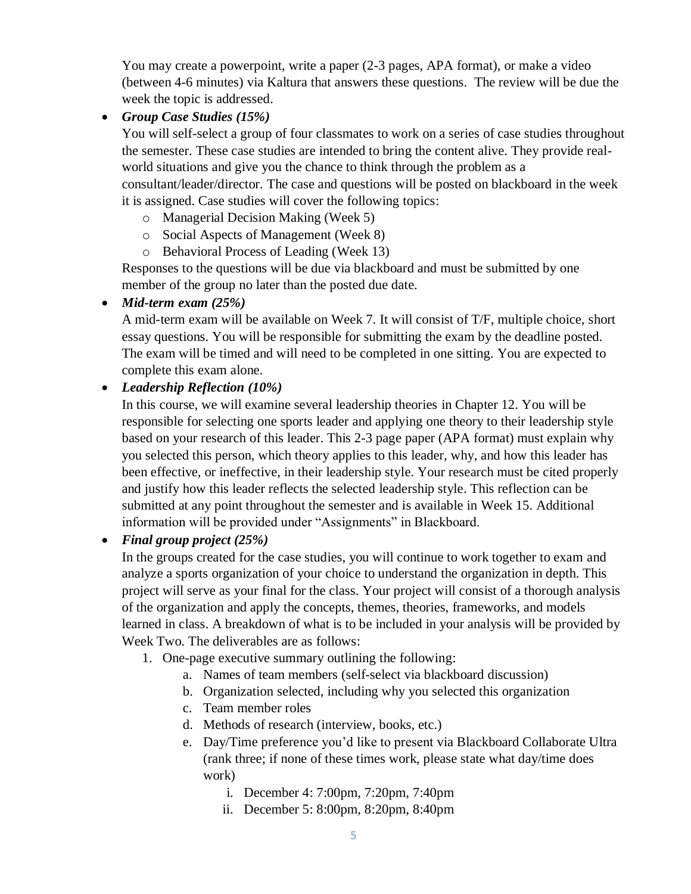You may create a powerpoint, write a paper (2-3 pages, APA format), or make a video (between 4-6 minutes) via Kaltura that answers these questions. The review will be due the week the topic is addressed.

• *Group Case Studies (15%)*

You will self-select a group of four classmates to work on a series of case studies throughout the semester. These case studies are intended to bring the content alive. They provide realworld situations and give you the chance to think through the problem as a consultant/leader/director. The case and questions will be posted on blackboard in the week it is assigned. Case studies will cover the following topics:

- o Managerial Decision Making (Week 5)
- o Social Aspects of Management (Week 8)
- o Behavioral Process of Leading (Week 13)

Responses to the questions will be due via blackboard and must be submitted by one member of the group no later than the posted due date.

## • *Mid-term exam (25%)*

A mid-term exam will be available on Week 7. It will consist of T/F, multiple choice, short essay questions. You will be responsible for submitting the exam by the deadline posted. The exam will be timed and will need to be completed in one sitting. You are expected to complete this exam alone.

## • *Leadership Reflection (10%)*

In this course, we will examine several leadership theories in Chapter 12. You will be responsible for selecting one sports leader and applying one theory to their leadership style based on your research of this leader. This 2-3 page paper (APA format) must explain why you selected this person, which theory applies to this leader, why, and how this leader has been effective, or ineffective, in their leadership style. Your research must be cited properly and justify how this leader reflects the selected leadership style. This reflection can be submitted at any point throughout the semester and is available in Week 15. Additional information will be provided under "Assignments" in Blackboard.

• *Final group project (25%)*

In the groups created for the case studies, you will continue to work together to exam and analyze a sports organization of your choice to understand the organization in depth. This project will serve as your final for the class. Your project will consist of a thorough analysis of the organization and apply the concepts, themes, theories, frameworks, and models learned in class. A breakdown of what is to be included in your analysis will be provided by Week Two. The deliverables are as follows:

- 1. One-page executive summary outlining the following:
	- a. Names of team members (self-select via blackboard discussion)
	- b. Organization selected, including why you selected this organization
	- c. Team member roles
	- d. Methods of research (interview, books, etc.)
	- e. Day/Time preference you'd like to present via Blackboard Collaborate Ultra (rank three; if none of these times work, please state what day/time does work)
		- i. December 4: 7:00pm, 7:20pm, 7:40pm
		- ii. December 5: 8:00pm, 8:20pm, 8:40pm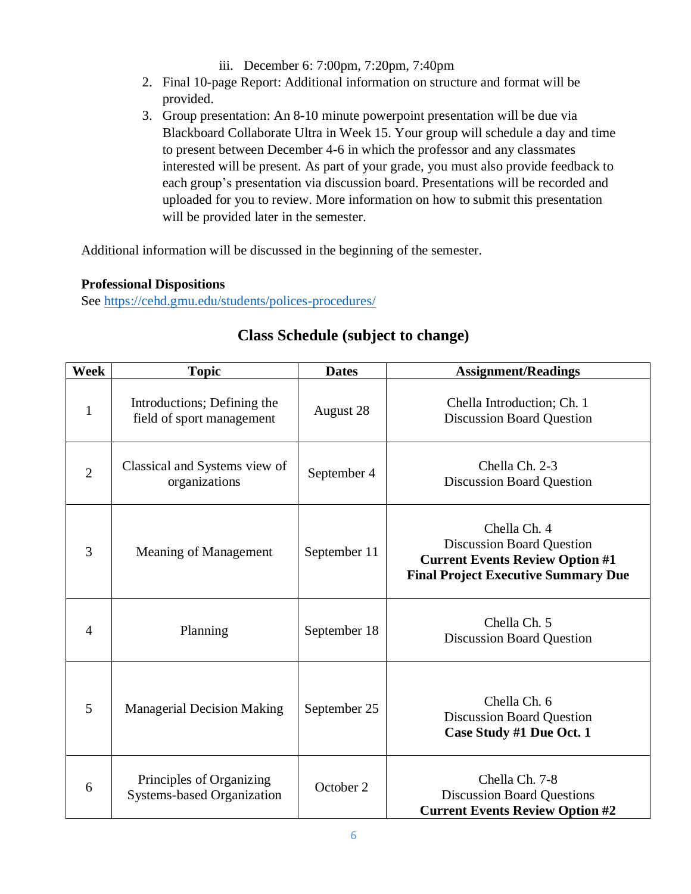iii. December 6: 7:00pm, 7:20pm, 7:40pm

- 2. Final 10-page Report: Additional information on structure and format will be provided.
- 3. Group presentation: An 8-10 minute powerpoint presentation will be due via Blackboard Collaborate Ultra in Week 15. Your group will schedule a day and time to present between December 4-6 in which the professor and any classmates interested will be present. As part of your grade, you must also provide feedback to each group's presentation via discussion board. Presentations will be recorded and uploaded for you to review. More information on how to submit this presentation will be provided later in the semester.

Additional information will be discussed in the beginning of the semester.

## **Professional Dispositions**

See<https://cehd.gmu.edu/students/polices-procedures/>

| <b>Week</b>    | <b>Topic</b>                                                  | <b>Dates</b> | <b>Assignment/Readings</b>                                                                                                               |
|----------------|---------------------------------------------------------------|--------------|------------------------------------------------------------------------------------------------------------------------------------------|
| $\mathbf{1}$   | Introductions; Defining the<br>field of sport management      | August 28    | Chella Introduction; Ch. 1<br><b>Discussion Board Question</b>                                                                           |
| $\overline{2}$ | Classical and Systems view of<br>organizations                | September 4  | Chella Ch. 2-3<br><b>Discussion Board Question</b>                                                                                       |
| $\overline{3}$ | Meaning of Management                                         | September 11 | Chella Ch. 4<br><b>Discussion Board Question</b><br><b>Current Events Review Option #1</b><br><b>Final Project Executive Summary Due</b> |
| $\overline{4}$ | Planning                                                      | September 18 | Chella Ch. 5<br><b>Discussion Board Question</b>                                                                                         |
| 5              | <b>Managerial Decision Making</b>                             | September 25 | Chella Ch. 6<br><b>Discussion Board Question</b><br>Case Study #1 Due Oct. 1                                                             |
| 6              | Principles of Organizing<br><b>Systems-based Organization</b> | October 2    | Chella Ch. 7-8<br><b>Discussion Board Questions</b><br><b>Current Events Review Option #2</b>                                            |

# **Class Schedule (subject to change)**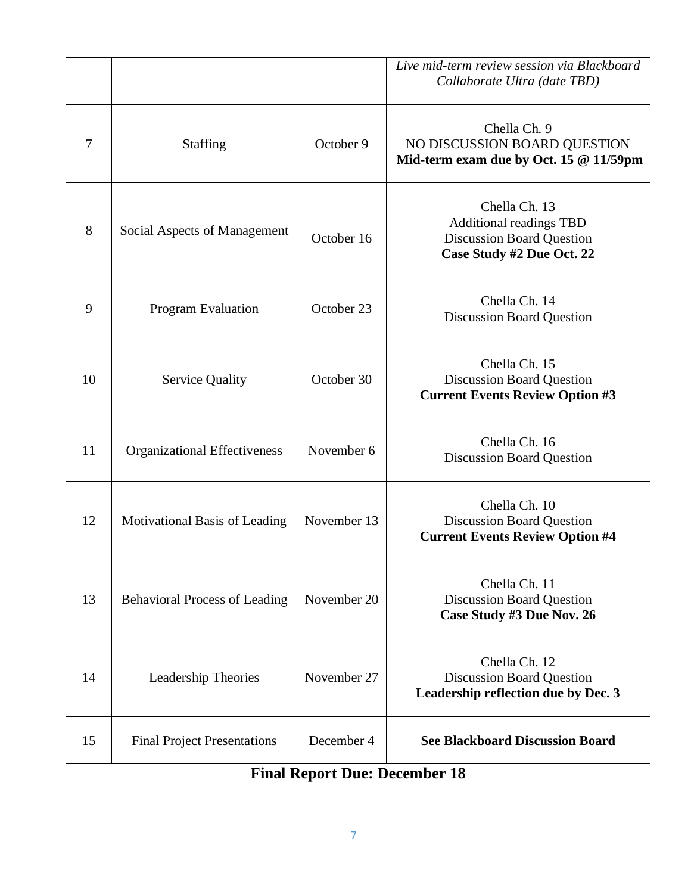|                                      |                                      |             | Live mid-term review session via Blackboard<br>Collaborate Ultra (date TBD)                                      |
|--------------------------------------|--------------------------------------|-------------|------------------------------------------------------------------------------------------------------------------|
| $\overline{7}$                       | <b>Staffing</b>                      | October 9   | Chella Ch. 9<br>NO DISCUSSION BOARD QUESTION<br>Mid-term exam due by Oct. 15 @ 11/59pm                           |
| 8                                    | Social Aspects of Management         | October 16  | Chella Ch. 13<br><b>Additional readings TBD</b><br><b>Discussion Board Question</b><br>Case Study #2 Due Oct. 22 |
| 9                                    | <b>Program Evaluation</b>            | October 23  | Chella Ch. 14<br><b>Discussion Board Question</b>                                                                |
| 10                                   | <b>Service Quality</b>               | October 30  | Chella Ch. 15<br><b>Discussion Board Question</b><br><b>Current Events Review Option #3</b>                      |
| 11                                   | <b>Organizational Effectiveness</b>  | November 6  | Chella Ch. 16<br><b>Discussion Board Question</b>                                                                |
| 12                                   | Motivational Basis of Leading        | November 13 | Chella Ch. 10<br><b>Discussion Board Question</b><br><b>Current Events Review Option #4</b>                      |
| 13                                   | <b>Behavioral Process of Leading</b> | November 20 | Chella Ch. 11<br><b>Discussion Board Question</b><br>Case Study #3 Due Nov. 26                                   |
| 14                                   | Leadership Theories                  | November 27 | Chella Ch. 12<br><b>Discussion Board Question</b><br>Leadership reflection due by Dec. 3                         |
| 15                                   | <b>Final Project Presentations</b>   | December 4  | <b>See Blackboard Discussion Board</b>                                                                           |
| <b>Final Report Due: December 18</b> |                                      |             |                                                                                                                  |